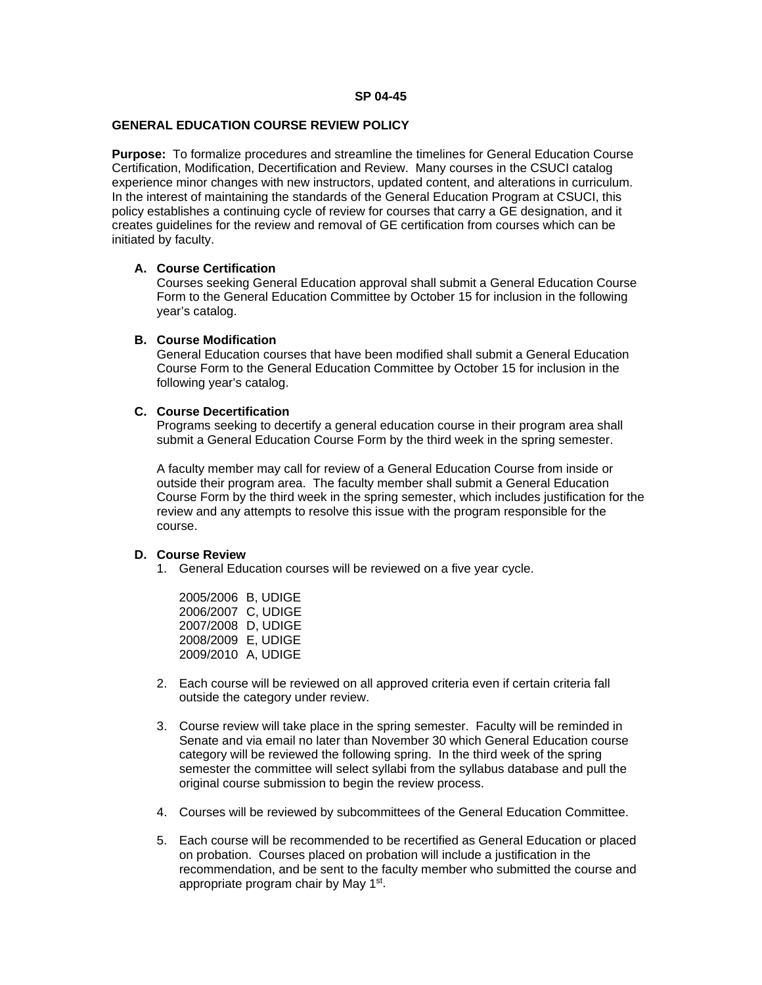### **GENERAL EDUCATION COURSE REVIEW POLICY**

**Purpose:** To formalize procedures and streamline the timelines for General Education Course Certification, Modification, Decertification and Review. Many courses in the CSUCI catalog experience minor changes with new instructors, updated content, and alterations in curriculum. In the interest of maintaining the standards of the General Education Program at CSUCI, this policy establishes a continuing cycle of review for courses that carry a GE designation, and it creates guidelines for the review and removal of GE certification from courses which can be initiated by faculty.

# **A. Course Certification**

Courses seeking General Education approval shall submit a General Education Course Form to the General Education Committee by October 15 for inclusion in the following year's catalog.

### **B. Course Modification**

General Education courses that have been modified shall submit a General Education Course Form to the General Education Committee by October 15 for inclusion in the following year's catalog.

# **C. Course Decertification**

Programs seeking to decertify a general education course in their program area shall submit a General Education Course Form by the third week in the spring semester.

A faculty member may call for review of a General Education Course from inside or outside their program area. The faculty member shall submit a General Education Course Form by the third week in the spring semester, which includes justification for the review and any attempts to resolve this issue with the program responsible for the course.

# **D. Course Review**

1. General Education courses will be reviewed on a five year cycle.

| 2005/2006 B, UDIGE |  |
|--------------------|--|
| 2006/2007 C, UDIGE |  |
| 2007/2008 D, UDIGE |  |
| 2008/2009 E, UDIGE |  |
| 2009/2010 A, UDIGE |  |

- 2. Each course will be reviewed on all approved criteria even if certain criteria fall outside the category under review.
- 3. Course review will take place in the spring semester. Faculty will be reminded in Senate and via email no later than November 30 which General Education course category will be reviewed the following spring. In the third week of the spring semester the committee will select syllabi from the syllabus database and pull the original course submission to begin the review process.
- 4. Courses will be reviewed by subcommittees of the General Education Committee.
- 5. Each course will be recommended to be recertified as General Education or placed on probation. Courses placed on probation will include a justification in the recommendation, and be sent to the faculty member who submitted the course and appropriate program chair by May 1st.